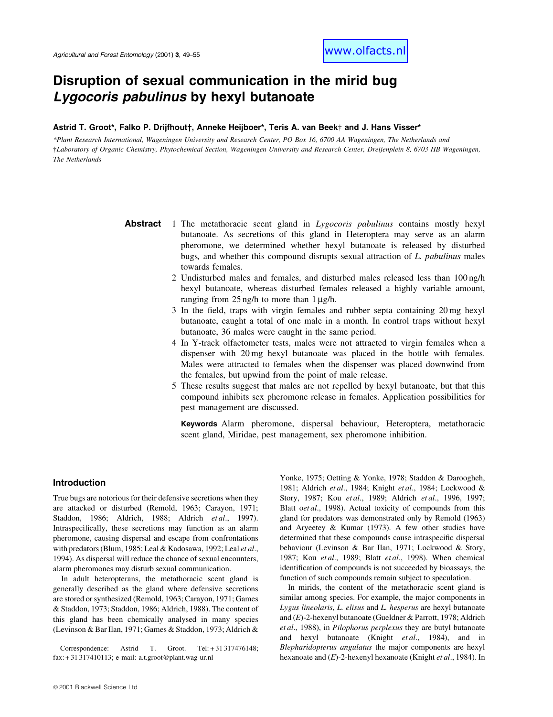# Disruption of sexual communication in the mirid bug Lygocoris pabulinus by hexyl butanoate

## Astrid T. Groot\*, Falko P. Drijfhout†, Anneke Heijboer\*, Teris A. van Beek† and J. Hans Visser\*

\*Plant Research International, Wageningen University and Research Center, PO Box 16, 6700 AA Wageningen, The Netherlands and ²Laboratory of Organic Chemistry, Phytochemical Section, Wageningen University and Research Center, Dreijenplein 8, 6703 HB Wageningen, The Netherlands

> **Abstract** 1 The metathoracic scent gland in Lygocoris pabulinus contains mostly hexyl butanoate. As secretions of this gland in Heteroptera may serve as an alarm pheromone, we determined whether hexyl butanoate is released by disturbed bugs, and whether this compound disrupts sexual attraction of L. pabulinus males towards females.

- 2 Undisturbed males and females, and disturbed males released less than 100 ng/h hexyl butanoate, whereas disturbed females released a highly variable amount, ranging from  $25$  ng/h to more than  $1 \mu$ g/h.
- $3$  In the field, traps with virgin females and rubber septa containing  $20 \text{ mg}$  hexyl butanoate, caught a total of one male in a month. In control traps without hexyl butanoate, 36 males were caught in the same period.
- 4 In Y-track olfactometer tests, males were not attracted to virgin females when a dispenser with 20 mg hexyl butanoate was placed in the bottle with females. Males were attracted to females when the dispenser was placed downwind from the females, but upwind from the point of male release.
- 5 These results suggest that males are not repelled by hexyl butanoate, but that this compound inhibits sex pheromone release in females. Application possibilities for pest management are discussed.

Keywords Alarm pheromone, dispersal behaviour, Heteroptera, metathoracic scent gland, Miridae, pest management, sex pheromone inhibition.

#### Introduction

True bugs are notorious for their defensive secretions when they are attacked or disturbed (Remold, 1963; Carayon, 1971; Staddon, 1986; Aldrich, 1988; Aldrich et al., 1997). Intraspecifically, these secretions may function as an alarm pheromone, causing dispersal and escape from confrontations with predators (Blum, 1985; Leal & Kadosawa, 1992; Leal et al., 1994). As dispersal will reduce the chance of sexual encounters, alarm pheromones may disturb sexual communication.

In adult heteropterans, the metathoracic scent gland is generally described as the gland where defensive secretions are stored or synthesized (Remold, 1963; Carayon, 1971; Games & Staddon, 1973; Staddon, 1986; Aldrich, 1988). The content of this gland has been chemically analysed in many species (Levinson & Bar Ilan, 1971; Games & Staddon, 1973; Aldrich &

Correspondence: Astrid T. Groot. Tel: + 31 317476148; fax: + 31 317410113; e-mail: a.t.groot@plant.wag-ur.nl

Yonke, 1975; Oetting & Yonke, 1978; Staddon & Daroogheh, 1981; Aldrich et al., 1984; Knight et al., 1984; Lockwood & Story, 1987; Kou et al., 1989; Aldrich et al., 1996, 1997; Blatt oet al., 1998). Actual toxicity of compounds from this gland for predators was demonstrated only by Remold (1963) and Aryeetey & Kumar (1973). A few other studies have determined that these compounds cause intraspecific dispersal behaviour (Levinson & Bar Ilan, 1971; Lockwood & Story, 1987; Kou et al., 1989; Blatt et al., 1998). When chemical identification of compounds is not succeeded by bioassays, the function of such compounds remain subject to speculation.

In mirids, the content of the metathoracic scent gland is similar among species. For example, the major components in Lygus lineolaris, L. elisus and L. hesperus are hexyl butanoate and (E)-2-hexenyl butanoate (Gueldner & Parrott, 1978; Aldrich et al., 1988), in Pilophorus perplexus they are butyl butanoate and hexyl butanoate (Knight et al., 1984), and in Blepharidopterus angulatus the major components are hexyl hexanoate and (E)-2-hexenyl hexanoate (Knight et al., 1984). In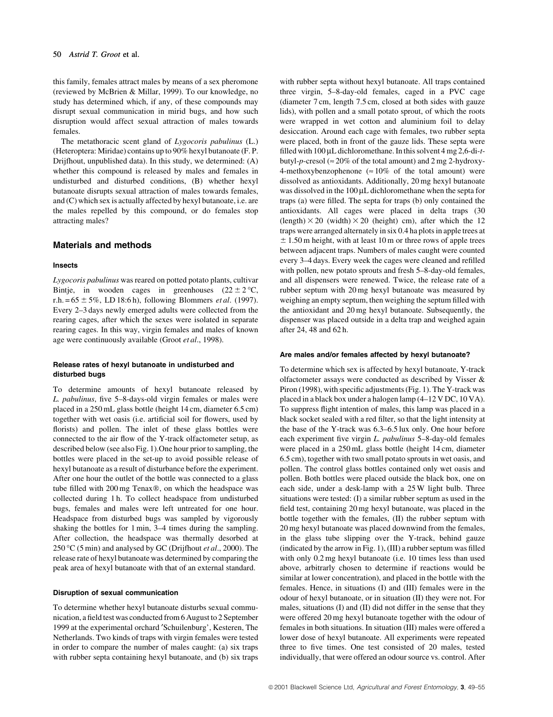this family, females attract males by means of a sex pheromone (reviewed by McBrien & Millar, 1999). To our knowledge, no study has determined which, if any, of these compounds may disrupt sexual communication in mirid bugs, and how such disruption would affect sexual attraction of males towards females.

The metathoracic scent gland of Lygocoris pabulinus (L.) (Heteroptera: Miridae) contains up to 90% hexyl butanoate (F. P. Drijfhout, unpublished data). In this study, we determined: (A) whether this compound is released by males and females in undisturbed and disturbed conditions, (B) whether hexyl butanoate disrupts sexual attraction of males towards females, and (C) which sex is actually affected by hexyl butanoate, i.e. are the males repelled by this compound, or do females stop attracting males?

#### Materials and methods

#### Insects

Lygocoris pabulinus was reared on potted potato plants, cultivar Bintje, in wooden cages in greenhouses  $(22 \pm 2 \degree C,$ r.h.  $= 65 \pm 5\%$ , LD 18:6 h), following Blommers *et al.* (1997). Every 2–3 days newly emerged adults were collected from the rearing cages, after which the sexes were isolated in separate rearing cages. In this way, virgin females and males of known age were continuously available (Groot et al., 1998).

#### Release rates of hexyl butanoate in undisturbed and disturbed bugs

To determine amounts of hexyl butanoate released by L. pabulinus, five 5-8-days-old virgin females or males were placed in a 250 mL glass bottle (height 14 cm, diameter 6.5 cm) together with wet oasis (i.e. artificial soil for flowers, used by florists) and pollen. The inlet of these glass bottles were connected to the air flow of the Y-track olfactometer setup, as described below (see also Fig. 1).One hour prior to sampling, the bottles were placed in the set-up to avoid possible release of hexyl butanoate as a result of disturbance before the experiment. After one hour the outlet of the bottle was connected to a glass tube filled with 200 mg Tenax®, on which the headspace was collected during 1 h. To collect headspace from undisturbed bugs, females and males were left untreated for one hour. Headspace from disturbed bugs was sampled by vigorously shaking the bottles for  $1 \text{ min}$ ,  $3-4$  times during the sampling. After collection, the headspace was thermally desorbed at 250 °C (5 min) and analysed by GC (Drijfhout et al., 2000). The release rate of hexyl butanoate was determined by comparing the peak area of hexyl butanoate with that of an external standard.

#### Disruption of sexual communication

To determine whether hexyl butanoate disturbs sexual communication, a field test was conducted from 6 August to 2 September 1999 at the experimental orchard 'Schuilenburg', Kesteren, The Netherlands. Two kinds of traps with virgin females were tested in order to compare the number of males caught: (a) six traps with rubber septa containing hexyl butanoate, and (b) six traps with rubber septa without hexyl butanoate. All traps contained three virgin, 5-8-day-old females, caged in a PVC cage (diameter 7 cm, length 7.5 cm, closed at both sides with gauze lids), with pollen and a small potato sprout, of which the roots were wrapped in wet cotton and aluminium foil to delay desiccation. Around each cage with females, two rubber septa were placed, both in front of the gauze lids. These septa were filled with  $100 \mu L$  dichloromethane. In this solvent 4 mg 2,6-di-tbutyl-p-cresol ( $\approx$  20% of the total amount) and 2 mg 2-hydroxy-4-methoxybenzophenone ( $\approx 10\%$  of the total amount) were dissolved as antioxidants. Additionally, 20 mg hexyl butanoate was dissolved in the  $100 \mu L$  dichloromethane when the septa for traps (a) were filled. The septa for traps (b) only contained the antioxidants. All cages were placed in delta traps (30  $(length) \times 20$  (width)  $\times 20$  (height) cm), after which the 12 traps were arranged alternately in six 0.4 ha plots in apple trees at  $\pm$  1.50 m height, with at least 10 m or three rows of apple trees between adjacent traps. Numbers of males caught were counted every 3-4 days. Every week the cages were cleaned and refilled with pollen, new potato sprouts and fresh 5-8-day-old females, and all dispensers were renewed. Twice, the release rate of a rubber septum with 20 mg hexyl butanoate was measured by weighing an empty septum, then weighing the septum filled with the antioxidant and 20 mg hexyl butanoate. Subsequently, the dispenser was placed outside in a delta trap and weighed again after 24, 48 and 62 h.

#### Are males and/or females affected by hexyl butanoate?

To determine which sex is affected by hexyl butanoate, Y-track olfactometer assays were conducted as described by Visser & Piron (1998), with specific adjustments (Fig. 1). The Y-track was placed in a black box under a halogen lamp  $(4-12 \text{ V DC}, 10 \text{ VA})$ . To suppress flight intention of males, this lamp was placed in a black socket sealed with a red filter, so that the light intensity at the base of the Y-track was  $6.3-6.5$  lux only. One hour before each experiment five virgin L. pabulinus 5-8-day-old females were placed in a 250 mL glass bottle (height 14 cm, diameter 6.5 cm), together with two small potato sprouts in wet oasis, and pollen. The control glass bottles contained only wet oasis and pollen. Both bottles were placed outside the black box, one on each side, under a desk-lamp with a 25 W light bulb. Three situations were tested: (I) a similar rubber septum as used in the field test, containing 20 mg hexyl butanoate, was placed in the bottle together with the females, (II) the rubber septum with 20 mg hexyl butanoate was placed downwind from the females, in the glass tube slipping over the Y-track, behind gauze  $(indicated by the arrow in Fig. 1), (III) a rubber septum was filled$ with only 0.2 mg hexyl butanoate (i.e. 10 times less than used above, arbitrarly chosen to determine if reactions would be similar at lower concentration), and placed in the bottle with the females. Hence, in situations (I) and (III) females were in the odour of hexyl butanoate, or in situation (II) they were not. For males, situations (I) and (II) did not differ in the sense that they were offered 20 mg hexyl butanoate together with the odour of females in both situations. In situation (III) males were offered a lower dose of hexyl butanoate. All experiments were repeated three to five times. One test consisted of 20 males, tested individually, that were offered an odour source vs. control. After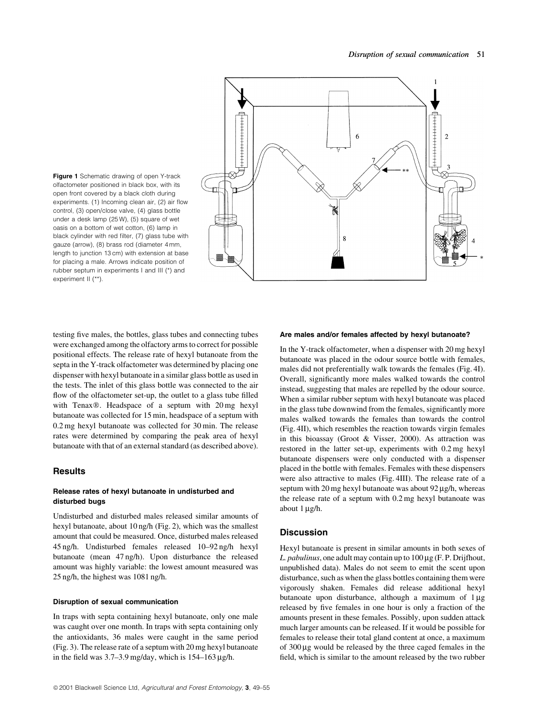

Figure 1 Schematic drawing of open Y-track olfactometer positioned in black box, with its open front covered by a black cloth during experiments. (1) Incoming clean air, (2) air flow control, (3) open/close valve, (4) glass bottle under a desk lamp (25 W), (5) square of wet oasis on a bottom of wet cotton, (6) lamp in black cylinder with red filter, (7) glass tube with gauze (arrow), (8) brass rod (diameter 4 mm, length to junction 13 cm) with extension at base for placing a male. Arrows indicate position of rubber septum in experiments I and III (\*) and experiment II (\*\*).

testing five males, the bottles, glass tubes and connecting tubes were exchanged among the olfactory arms to correct for possible positional effects. The release rate of hexyl butanoate from the septa in the Y-track olfactometer was determined by placing one dispenser with hexyl butanoate in a similar glass bottle as used in the tests. The inlet of this glass bottle was connected to the air flow of the olfactometer set-up, the outlet to a glass tube filled with Tenax®. Headspace of a septum with  $20 \text{ mg}$  hexyl butanoate was collected for 15 min, headspace of a septum with 0.2 mg hexyl butanoate was collected for 30 min. The release rates were determined by comparing the peak area of hexyl butanoate with that of an external standard (as described above).

## **Results**

## Release rates of hexyl butanoate in undisturbed and disturbed bugs

Undisturbed and disturbed males released similar amounts of hexyl butanoate, about 10 ng/h (Fig. 2), which was the smallest amount that could be measured. Once, disturbed males released 45 ng/h. Undisturbed females released 10–92 ng/h hexyl butanoate (mean 47 ng/h). Upon disturbance the released amount was highly variable: the lowest amount measured was 25 ng/h, the highest was 1081 ng/h.

#### Disruption of sexual communication

In traps with septa containing hexyl butanoate, only one male was caught over one month. In traps with septa containing only the antioxidants, 36 males were caught in the same period (Fig. 3). The release rate of a septum with 20 mg hexyl butanoate in the field was  $3.7-3.9$  mg/day, which is  $154-163 \mu g/h$ .

#### Are males and/or females affected by hexyl butanoate?

In the Y-track olfactometer, when a dispenser with 20 mg hexyl butanoate was placed in the odour source bottle with females, males did not preferentially walk towards the females (Fig. 4I). Overall, significantly more males walked towards the control instead, suggesting that males are repelled by the odour source. When a similar rubber septum with hexyl butanoate was placed in the glass tube downwind from the females, significantly more males walked towards the females than towards the control (Fig. 4II), which resembles the reaction towards virgin females in this bioassay (Groot & Visser, 2000). As attraction was restored in the latter set-up, experiments with 0.2 mg hexyl butanoate dispensers were only conducted with a dispenser placed in the bottle with females. Females with these dispensers were also attractive to males (Fig. 4III). The release rate of a septum with  $20$  mg hexyl butanoate was about  $92 \mu g/h$ , whereas the release rate of a septum with 0.2 mg hexyl butanoate was about  $1 \mu g/h$ .

## **Discussion**

Hexyl butanoate is present in similar amounts in both sexes of L. pabulinus, one adult may contain up to  $100 \mu$ g (F. P. Drijfhout, unpublished data). Males do not seem to emit the scent upon disturbance, such as when the glass bottles containing them were vigorously shaken. Females did release additional hexyl butanoate upon disturbance, although a maximum of  $1 \mu$ g released by five females in one hour is only a fraction of the amounts present in these females. Possibly, upon sudden attack much larger amounts can be released. If it would be possible for females to release their total gland content at once, a maximum of  $300 \mu$ g would be released by the three caged females in the field, which is similar to the amount released by the two rubber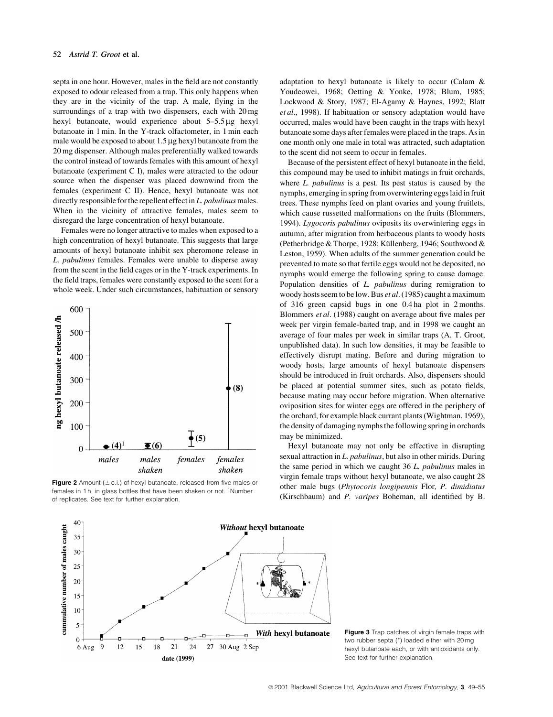septa in one hour. However, males in the field are not constantly exposed to odour released from a trap. This only happens when they are in the vicinity of the trap. A male, flying in the surroundings of a trap with two dispensers, each with 20 mg hexyl butanoate, would experience about  $5-5.5 \mu$ g hexyl butanoate in 1 min. In the Y-track olfactometer, in 1 min each male would be exposed to about  $1.5 \mu$ g hexyl butanoate from the 20 mg dispenser. Although males preferentially walked towards the control instead of towards females with this amount of hexyl butanoate (experiment C I), males were attracted to the odour source when the dispenser was placed downwind from the females (experiment C II). Hence, hexyl butanoate was not directly responsible for the repellent effect in  $L$ , pabulinus males. When in the vicinity of attractive females, males seem to disregard the large concentration of hexyl butanoate.

Females were no longer attractive to males when exposed to a high concentration of hexyl butanoate. This suggests that large amounts of hexyl butanoate inhibit sex pheromone release in L. pabulinus females. Females were unable to disperse away from the scent in the field cages or in the Y-track experiments. In the field traps, females were constantly exposed to the scent for a whole week. Under such circumstances, habituation or sensory



**Figure 2** Amount ( $\pm$  c.i.) of hexyl butanoate, released from five males or females in 1 h, in glass bottles that have been shaken or not. <sup>1</sup>Number of replicates. See text for further explanation.

adaptation to hexyl butanoate is likely to occur (Calam & Youdeowei, 1968; Oetting & Yonke, 1978; Blum, 1985; Lockwood & Story, 1987; El-Agamy & Haynes, 1992; Blatt et al., 1998). If habituation or sensory adaptation would have occurred, males would have been caught in the traps with hexyl butanoate some days after females were placed in the traps. As in one month only one male in total was attracted, such adaptation to the scent did not seem to occur in females.

Because of the persistent effect of hexyl butanoate in the field, this compound may be used to inhibit matings in fruit orchards, where L. *pabulinus* is a pest. Its pest status is caused by the nymphs, emerging in spring from overwintering eggslaid in fruit trees. These nymphs feed on plant ovaries and young fruitlets, which cause russetted malformations on the fruits (Blommers, 1994). Lygocoris pabulinus oviposits its overwintering eggs in autumn, after migration from herbaceous plants to woody hosts (Petherbridge & Thorpe, 1928; Küllenberg, 1946; Southwood & Leston, 1959). When adults of the summer generation could be prevented to mate so that fertile eggs would not be deposited, no nymphs would emerge the following spring to cause damage. Population densities of L. *pabulinus* during remigration to woody hosts seem to be low. Bus et al. (1985) caught a maximum of 316 green capsid bugs in one 0.4 ha plot in 2 months. Blommers *et al.* (1988) caught on average about five males per week per virgin female-baited trap, and in 1998 we caught an average of four males per week in similar traps (A. T. Groot, unpublished data). In such low densities, it may be feasible to effectively disrupt mating. Before and during migration to woody hosts, large amounts of hexyl butanoate dispensers should be introduced in fruit orchards. Also, dispensers should be placed at potential summer sites, such as potato fields, because mating may occur before migration. When alternative oviposition sites for winter eggs are offered in the periphery of the orchard, for example black currant plants(Wightman, 1969), the density of damaging nymphsthe following spring in orchards may be minimized.

Hexyl butanoate may not only be effective in disrupting sexual attraction in L. pabulinus, but also in other mirids. During the same period in which we caught 36 L. pabulinus males in virgin female traps without hexyl butanoate, we also caught 28 other male bugs (Phytocoris longipennis Flor, P. dimidiatus (Kirschbaum) and  $P$ . *varipes* Boheman, all identified by B.



Figure 3 Trap catches of virgin female traps with two rubber septa (\*) loaded either with 20 mg hexyl butanoate each, or with antioxidants only. See text for further explanation.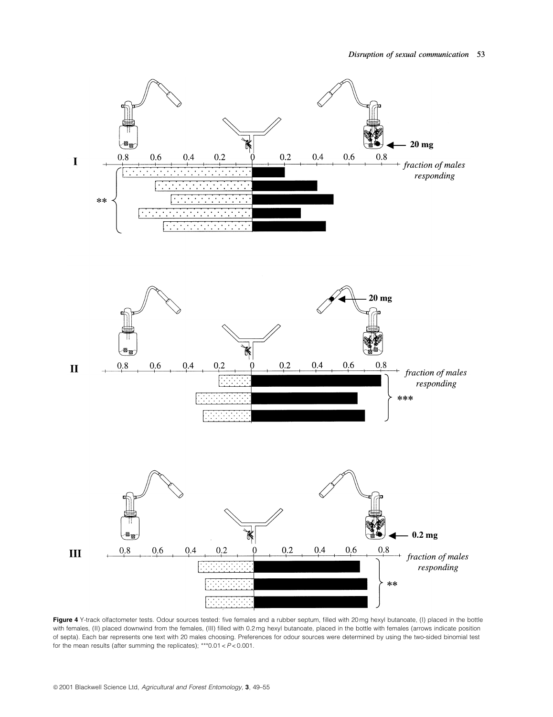

Figure 4 Y-track olfactometer tests. Odour sources tested: five females and a rubber septum, filled with 20 mg hexyl butanoate, (I) placed in the bottle with females, (II) placed downwind from the females, (III) filled with 0.2 mg hexyl butanoate, placed in the bottle with females (arrows indicate position of septa). Each bar represents one text with 20 males choosing. Preferences for odour sources were determined by using the two-sided binomial test for the mean results (after summing the replicates);  $***0.01 < P < 0.001$ .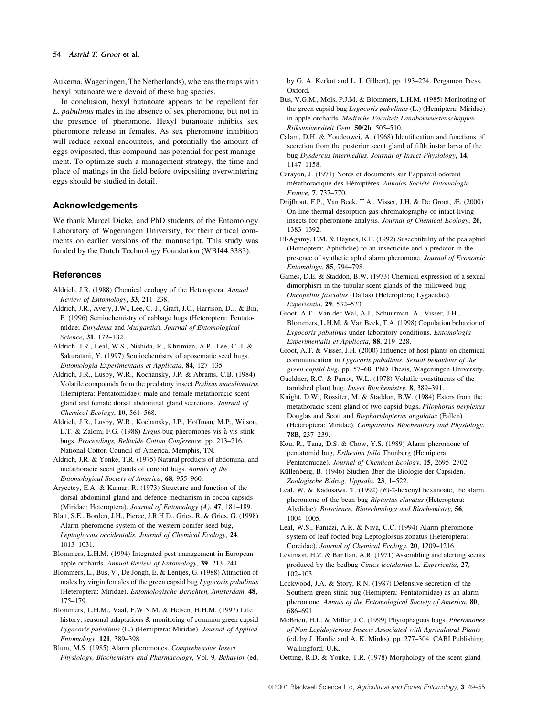## 54 Astrid T. Groot et al.

Aukema, Wageningen, The Netherlands), whereas the traps with hexyl butanoate were devoid of these bug species.

In conclusion, hexyl butanoate appears to be repellent for L. pabulinus males in the absence of sex pheromone, but not in the presence of pheromone. Hexyl butanoate inhibits sex pheromone release in females. As sex pheromone inhibition will reduce sexual encounters, and potentially the amount of eggs oviposited, this compound has potential for pest management. To optimize such a management strategy, the time and place of matings in the field before ovipositing overwintering eggs should be studied in detail.

## Acknowledgements

We thank Marcel Dicke, and PhD students of the Entomology Laboratory of Wageningen University, for their critical comments on earlier versions of the manuscript. This study was funded by the Dutch Technology Foundation (WBI44.3383).

### **References**

- Aldrich, J.R. (1988) Chemical ecology of the Heteroptera. Annual Review of Entomology,  $33$ ,  $211-238$ .
- Aldrich, J.R., Avery, J.W., Lee, C.-J., Graft, J.C., Harrison, D.J. & Bin, F. (1996) Semiochemistry of cabbage bugs (Heteroptera: Pentatomidae; Eurydema and Murgantia). Journal of Entomological Science, 31, 172-182.
- Aldrich, J.R., Leal, W.S., Nishida, R., Khrimian, A.P., Lee, C.-J. & Sakuratani, Y. (1997) Semiochemistry of aposematic seed bugs. Entomologia Experimentalis et Applicata, 84, 127-135.
- Aldrich, J.R., Lusby, W.R., Kochansky, J.P. & Abrams, C.B. (1984) Volatile compounds from the predatory insect Podisus maculiventris (Hemiptera: Pentatomidae): male and female metathoracic scent gland and female dorsal abdominal gland secretions. Journal of Chemical Ecology, 10, 561-568.
- Aldrich, J.R., Lusby, W.R., Kochansky, J.P., Hoffman, M.P., Wilson, L.T. & Zalom, F.G. (1988) Lygus bug pheromones vis-à-vis stink bugs. Proceedings, Beltwide Cotton Conference, pp. 213-216. National Cotton Council of America, Memphis, TN.
- Aldrich, J.R. & Yonke, T.R. (1975) Natural products of abdominal and metathoracic scent glands of coreoid bugs. Annals of the Entomological Society of America, 68, 955-960.
- Aryeetey, E.A. & Kumar, R. (1973) Structure and function of the dorsal abdominal gland and defence mechanism in cocoa-capsids (Miridae: Heteroptera). Journal of Entomology  $(A)$ , 47, 181-189.
- Blatt, S.E., Borden, J.H., Pierce, J.R.H.D., Gries, R. & Gries, G. (1998) Alarm pheromone system of the western conifer seed bug, Leptoglossus occidentalis. Journal of Chemical Ecology, 24, 1013±1031.
- Blommers, L.H.M. (1994) Integrated pest management in European apple orchards. Annual Review of Entomology, 39, 213-241.
- Blommers, L., Bus, V., De Jongh, E. & Lentjes, G. (1988) Attraction of males by virgin females of the green capsid bug Lygocoris pabulinus (Heteroptera: Miridae). Entomologische Berichten, Amsterdam, 48, 175±179.
- Blommers, L.H.M., Vaal, F.W.N.M. & Helsen, H.H.M. (1997) Life history, seasonal adaptations & monitoring of common green capsid Lygocoris pabulinus (L.) (Hemiptera: Miridae). Journal of Applied Entomology, 121, 389-398.
- Blum, M.S. (1985) Alarm pheromones. Comprehensive Insect Physiology, Biochemistry and Pharmacology, Vol. 9, Behavior (ed.

by G. A. Kerkut and L. I. Gilbert), pp. 193-224. Pergamon Press, Oxford.

- Bus, V.G.M., Mols, P.J.M. & Blommers, L.H.M. (1985) Monitoring of the green capsid bug Lygocoris pabulinus (L.) (Hemiptera: Miridae) in apple orchards. Medische Faculteit Landbouwwetenschappen Rijksuniversiteit Gent, 50/2b, 505-510.
- Calam, D.H. & Youdeowei, A. (1968) Identification and functions of secretion from the posterior scent gland of fifth instar larva of the bug Dysdercus intermedius. Journal of Insect Physiology, 14, 1147±1158.
- Carayon, J. (1971) Notes et documents sur l'appareil odorant métathoracique des Hémiptères. Annales Société Entomologie France, 7, 737-770.
- Drijfhout, F.P., Van Beek, T.A., Visser, J.H. & De Groot, Æ. (2000) On-line thermal desorption-gas chromatography of intact living insects for pheromone analysis. Journal of Chemical Ecology, 26, 1383±1392.
- El-Agamy, F.M. & Haynes, K.F. (1992) Susceptibility of the pea aphid (Homoptera: Aphididae) to an insecticide and a predator in the presence of synthetic aphid alarm pheromone. Journal of Economic Entomology, 85, 794-798.
- Games, D.E. & Staddon, B.W. (1973) Chemical expression of a sexual dimorphism in the tubular scent glands of the milkweed bug Oncopeltus fasciatus (Dallas) (Heteroptera; Lygaeidae). Experientia, 29, 532-533.
- Groot, A.T., Van der Wal, A.J., Schuurman, A., Visser, J.H., Blommers, L.H.M. & Van Beek, T.A. (1998) Copulation behavior of Lygocoris pabulinus under laboratory conditions. Entomologia Experimentalis et Applicata, 88, 219-228.
- Groot, A.T. & Visser, J.H. (2000) Influence of host plants on chemical communication in Lygocoris pabulinus. Sexual behaviour of the green capsid bug, pp. 57-68. PhD Thesis, Wageningen University.
- Gueldner, R.C. & Parrot, W.L. (1978) Volatile constituents of the tarnished plant bug. Insect Biochemistry, 8, 389-391.
- Knight, D.W., Rossiter, M. & Staddon, B.W. (1984) Esters from the metathoracic scent gland of two capsid bugs, Pilophorus perplexus Douglas and Scott and Blepharidopterus angulatus (Fallen) (Heteroptera: Miridae). Comparative Biochemistry and Physiology, 78B, 237-239.
- Kou, R., Tang, D.S. & Chow, Y.S. (1989) Alarm pheromone of pentatomid bug, Erthesina fullo Thunberg (Hemiptera: Pentatomidae). Journal of Chemical Ecology, 15, 2695-2702.
- Küllenberg, B. (1946) Studien über die Biologie der Capsiden. Zoologische Bidrag, Uppsala, 23, 1-522.
- Leal, W. & Kadosawa, T. (1992)  $(E)$ -2-hexenyl hexanoate, the alarm pheromone of the bean bug Riptortus clavatus (Heteroptera: Alydidae). Bioscience, Biotechnology and Biochemistry, 56, 1004±1005.
- Leal, W.S., Panizzi, A.R. & Niva, C.C. (1994) Alarm pheromone system of leaf-footed bug Leptoglossus zonatus (Heteroptera: Coreidae). Journal of Chemical Ecology, 20, 1209-1216.
- Levinson, H.Z. & Bar Ilan, A.R. (1971) Assembling and alerting scents produced by the bedbug Cimex lectularius L. Experientia, 27, 102±103.
- Lockwood, J.A. & Story, R.N. (1987) Defensive secretion of the Southern green stink bug (Hemiptera: Pentatomidae) as an alarm pheromone. Annals of the Entomological Society of America, 80, 686±691.
- McBrien, H.L. & Millar, J.C. (1999) Phytophagous bugs. Pheromones of Non-Lepidopterous Insects Associated with Agricultural Plants (ed. by J. Hardie and A. K. Minks), pp. 277-304. CABI Publishing, Wallingford, U.K.
- Oetting, R.D. & Yonke, T.R. (1978) Morphology of the scent-gland